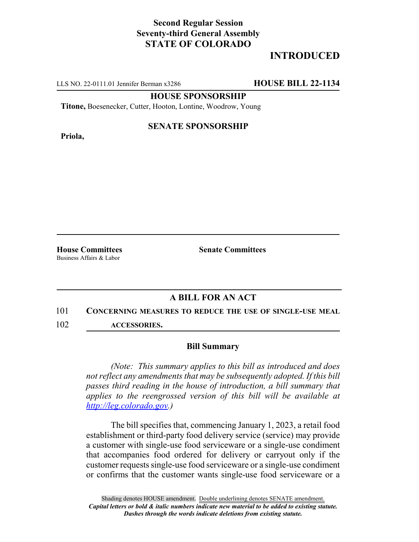## **Second Regular Session Seventy-third General Assembly STATE OF COLORADO**

# **INTRODUCED**

LLS NO. 22-0111.01 Jennifer Berman x3286 **HOUSE BILL 22-1134**

**HOUSE SPONSORSHIP**

**Titone,** Boesenecker, Cutter, Hooton, Lontine, Woodrow, Young

**Priola,**

### **SENATE SPONSORSHIP**

Business Affairs & Labor

**House Committees Senate Committees**

### **A BILL FOR AN ACT**

#### 101 **CONCERNING MEASURES TO REDUCE THE USE OF SINGLE-USE MEAL**

102 **ACCESSORIES.**

#### **Bill Summary**

*(Note: This summary applies to this bill as introduced and does not reflect any amendments that may be subsequently adopted. If this bill passes third reading in the house of introduction, a bill summary that applies to the reengrossed version of this bill will be available at http://leg.colorado.gov.)*

The bill specifies that, commencing January 1, 2023, a retail food establishment or third-party food delivery service (service) may provide a customer with single-use food serviceware or a single-use condiment that accompanies food ordered for delivery or carryout only if the customer requests single-use food serviceware or a single-use condiment or confirms that the customer wants single-use food serviceware or a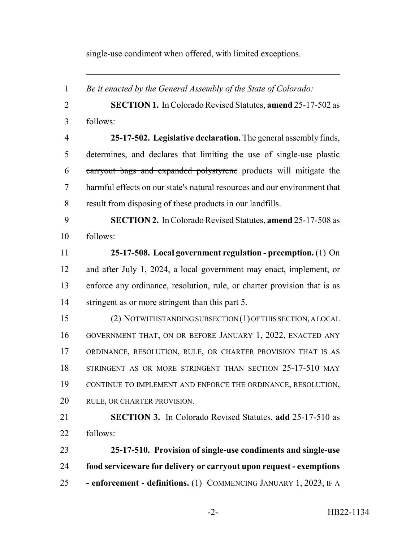single-use condiment when offered, with limited exceptions.

 *Be it enacted by the General Assembly of the State of Colorado:* **SECTION 1.** In Colorado Revised Statutes, **amend** 25-17-502 as follows: **25-17-502. Legislative declaration.** The general assembly finds, determines, and declares that limiting the use of single-use plastic carryout bags and expanded polystyrene products will mitigate the harmful effects on our state's natural resources and our environment that result from disposing of these products in our landfills. **SECTION 2.** In Colorado Revised Statutes, **amend** 25-17-508 as follows: **25-17-508. Local government regulation - preemption.** (1) On and after July 1, 2024, a local government may enact, implement, or enforce any ordinance, resolution, rule, or charter provision that is as stringent as or more stringent than this part 5. (2) NOTWITHSTANDING SUBSECTION (1) OF THIS SECTION, A LOCAL GOVERNMENT THAT, ON OR BEFORE JANUARY 1, 2022, ENACTED ANY ORDINANCE, RESOLUTION, RULE, OR CHARTER PROVISION THAT IS AS 18 STRINGENT AS OR MORE STRINGENT THAN SECTION 25-17-510 MAY CONTINUE TO IMPLEMENT AND ENFORCE THE ORDINANCE, RESOLUTION, RULE, OR CHARTER PROVISION. **SECTION 3.** In Colorado Revised Statutes, **add** 25-17-510 as follows: **25-17-510. Provision of single-use condiments and single-use food serviceware for delivery or carryout upon request - exemptions - enforcement - definitions.** (1) COMMENCING JANUARY 1, 2023, IF A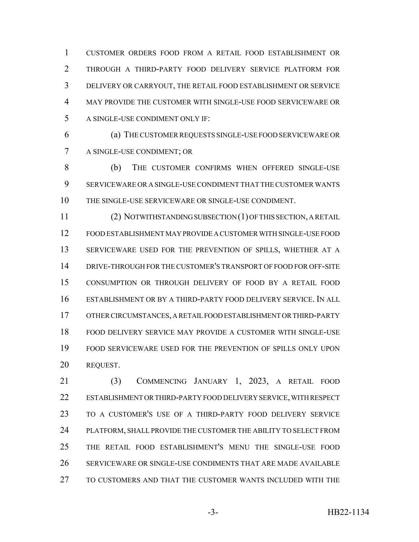CUSTOMER ORDERS FOOD FROM A RETAIL FOOD ESTABLISHMENT OR THROUGH A THIRD-PARTY FOOD DELIVERY SERVICE PLATFORM FOR DELIVERY OR CARRYOUT, THE RETAIL FOOD ESTABLISHMENT OR SERVICE MAY PROVIDE THE CUSTOMER WITH SINGLE-USE FOOD SERVICEWARE OR A SINGLE-USE CONDIMENT ONLY IF:

 (a) THE CUSTOMER REQUESTS SINGLE-USE FOOD SERVICEWARE OR A SINGLE-USE CONDIMENT; OR

 (b) THE CUSTOMER CONFIRMS WHEN OFFERED SINGLE-USE SERVICEWARE OR A SINGLE-USE CONDIMENT THAT THE CUSTOMER WANTS THE SINGLE-USE SERVICEWARE OR SINGLE-USE CONDIMENT.

 (2) NOTWITHSTANDING SUBSECTION (1) OF THIS SECTION, A RETAIL FOOD ESTABLISHMENT MAY PROVIDE A CUSTOMER WITH SINGLE-USE FOOD SERVICEWARE USED FOR THE PREVENTION OF SPILLS, WHETHER AT A DRIVE-THROUGH FOR THE CUSTOMER'S TRANSPORT OF FOOD FOR OFF-SITE CONSUMPTION OR THROUGH DELIVERY OF FOOD BY A RETAIL FOOD ESTABLISHMENT OR BY A THIRD-PARTY FOOD DELIVERY SERVICE. IN ALL OTHER CIRCUMSTANCES, A RETAIL FOOD ESTABLISHMENT OR THIRD-PARTY FOOD DELIVERY SERVICE MAY PROVIDE A CUSTOMER WITH SINGLE-USE FOOD SERVICEWARE USED FOR THE PREVENTION OF SPILLS ONLY UPON REQUEST.

 (3) COMMENCING JANUARY 1, 2023, A RETAIL FOOD ESTABLISHMENT OR THIRD-PARTY FOOD DELIVERY SERVICE, WITH RESPECT TO A CUSTOMER'S USE OF A THIRD-PARTY FOOD DELIVERY SERVICE PLATFORM, SHALL PROVIDE THE CUSTOMER THE ABILITY TO SELECT FROM THE RETAIL FOOD ESTABLISHMENT'S MENU THE SINGLE-USE FOOD SERVICEWARE OR SINGLE-USE CONDIMENTS THAT ARE MADE AVAILABLE TO CUSTOMERS AND THAT THE CUSTOMER WANTS INCLUDED WITH THE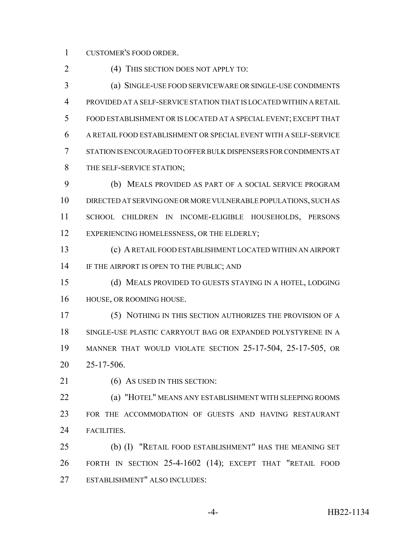CUSTOMER'S FOOD ORDER.

2 (4) THIS SECTION DOES NOT APPLY TO:

 (a) SINGLE-USE FOOD SERVICEWARE OR SINGLE-USE CONDIMENTS PROVIDED AT A SELF-SERVICE STATION THAT IS LOCATED WITHIN A RETAIL FOOD ESTABLISHMENT OR IS LOCATED AT A SPECIAL EVENT; EXCEPT THAT A RETAIL FOOD ESTABLISHMENT OR SPECIAL EVENT WITH A SELF-SERVICE STATION IS ENCOURAGED TO OFFER BULK DISPENSERS FOR CONDIMENTS AT 8 THE SELF-SERVICE STATION;

 (b) MEALS PROVIDED AS PART OF A SOCIAL SERVICE PROGRAM DIRECTED AT SERVING ONE OR MORE VULNERABLE POPULATIONS, SUCH AS SCHOOL CHILDREN IN INCOME-ELIGIBLE HOUSEHOLDS, PERSONS 12 EXPERIENCING HOMELESSNESS, OR THE ELDERLY;

 (c) A RETAIL FOOD ESTABLISHMENT LOCATED WITHIN AN AIRPORT 14 IF THE AIRPORT IS OPEN TO THE PUBLIC; AND

 (d) MEALS PROVIDED TO GUESTS STAYING IN A HOTEL, LODGING HOUSE, OR ROOMING HOUSE.

 (5) NOTHING IN THIS SECTION AUTHORIZES THE PROVISION OF A SINGLE-USE PLASTIC CARRYOUT BAG OR EXPANDED POLYSTYRENE IN A MANNER THAT WOULD VIOLATE SECTION 25-17-504, 25-17-505, OR 25-17-506.

21 (6) AS USED IN THIS SECTION:

 (a) "HOTEL" MEANS ANY ESTABLISHMENT WITH SLEEPING ROOMS FOR THE ACCOMMODATION OF GUESTS AND HAVING RESTAURANT FACILITIES.

 (b) (I) "RETAIL FOOD ESTABLISHMENT" HAS THE MEANING SET FORTH IN SECTION 25-4-1602 (14); EXCEPT THAT "RETAIL FOOD ESTABLISHMENT" ALSO INCLUDES: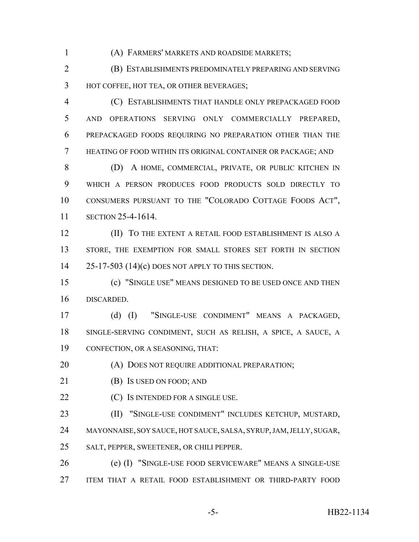(A) FARMERS' MARKETS AND ROADSIDE MARKETS;

 (B) ESTABLISHMENTS PREDOMINATELY PREPARING AND SERVING HOT COFFEE, HOT TEA, OR OTHER BEVERAGES;

 (C) ESTABLISHMENTS THAT HANDLE ONLY PREPACKAGED FOOD AND OPERATIONS SERVING ONLY COMMERCIALLY PREPARED, PREPACKAGED FOODS REQUIRING NO PREPARATION OTHER THAN THE HEATING OF FOOD WITHIN ITS ORIGINAL CONTAINER OR PACKAGE; AND

 (D) A HOME, COMMERCIAL, PRIVATE, OR PUBLIC KITCHEN IN WHICH A PERSON PRODUCES FOOD PRODUCTS SOLD DIRECTLY TO CONSUMERS PURSUANT TO THE "COLORADO COTTAGE FOODS ACT", SECTION 25-4-1614.

**(II) TO THE EXTENT A RETAIL FOOD ESTABLISHMENT IS ALSO A** 13 STORE, THE EXEMPTION FOR SMALL STORES SET FORTH IN SECTION 25-17-503 (14)(c) DOES NOT APPLY TO THIS SECTION.

 (c) "SINGLE USE" MEANS DESIGNED TO BE USED ONCE AND THEN DISCARDED.

 (d) (I) "SINGLE-USE CONDIMENT" MEANS A PACKAGED, SINGLE-SERVING CONDIMENT, SUCH AS RELISH, A SPICE, A SAUCE, A CONFECTION, OR A SEASONING, THAT:

**(A) DOES NOT REQUIRE ADDITIONAL PREPARATION;** 

- **(B)** Is USED ON FOOD; AND
- **(C)** IS INTENDED FOR A SINGLE USE.

 (II) "SINGLE-USE CONDIMENT" INCLUDES KETCHUP, MUSTARD, MAYONNAISE, SOY SAUCE, HOT SAUCE, SALSA, SYRUP, JAM, JELLY, SUGAR, SALT, PEPPER, SWEETENER, OR CHILI PEPPER.

 (e) (I) "SINGLE-USE FOOD SERVICEWARE" MEANS A SINGLE-USE ITEM THAT A RETAIL FOOD ESTABLISHMENT OR THIRD-PARTY FOOD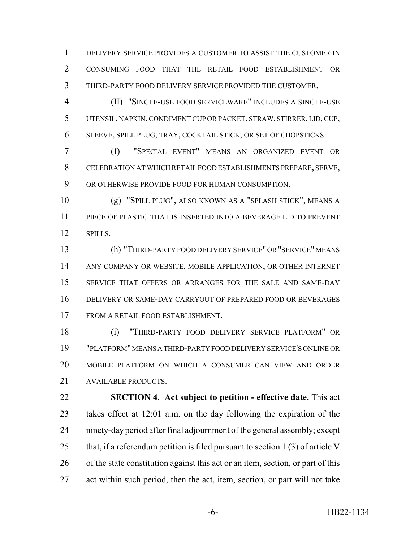DELIVERY SERVICE PROVIDES A CUSTOMER TO ASSIST THE CUSTOMER IN CONSUMING FOOD THAT THE RETAIL FOOD ESTABLISHMENT OR THIRD-PARTY FOOD DELIVERY SERVICE PROVIDED THE CUSTOMER.

 (II) "SINGLE-USE FOOD SERVICEWARE" INCLUDES A SINGLE-USE UTENSIL, NAPKIN, CONDIMENT CUP OR PACKET, STRAW, STIRRER, LID, CUP, SLEEVE, SPILL PLUG, TRAY, COCKTAIL STICK, OR SET OF CHOPSTICKS.

 (f) "SPECIAL EVENT" MEANS AN ORGANIZED EVENT OR CELEBRATION AT WHICH RETAIL FOOD ESTABLISHMENTS PREPARE, SERVE, OR OTHERWISE PROVIDE FOOD FOR HUMAN CONSUMPTION.

 (g) "SPILL PLUG", ALSO KNOWN AS A "SPLASH STICK", MEANS A PIECE OF PLASTIC THAT IS INSERTED INTO A BEVERAGE LID TO PREVENT 12 SPILLS.

 (h) "THIRD-PARTY FOOD DELIVERY SERVICE" OR "SERVICE" MEANS ANY COMPANY OR WEBSITE, MOBILE APPLICATION, OR OTHER INTERNET SERVICE THAT OFFERS OR ARRANGES FOR THE SALE AND SAME-DAY DELIVERY OR SAME-DAY CARRYOUT OF PREPARED FOOD OR BEVERAGES FROM A RETAIL FOOD ESTABLISHMENT.

 (i) "THIRD-PARTY FOOD DELIVERY SERVICE PLATFORM" OR "PLATFORM" MEANS A THIRD-PARTY FOOD DELIVERY SERVICE'S ONLINE OR MOBILE PLATFORM ON WHICH A CONSUMER CAN VIEW AND ORDER AVAILABLE PRODUCTS.

 **SECTION 4. Act subject to petition - effective date.** This act takes effect at 12:01 a.m. on the day following the expiration of the ninety-day period after final adjournment of the general assembly; except 25 that, if a referendum petition is filed pursuant to section 1 (3) of article V of the state constitution against this act or an item, section, or part of this act within such period, then the act, item, section, or part will not take